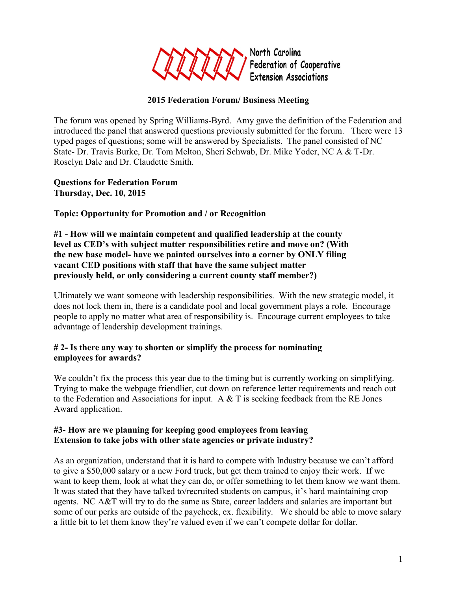

## **2015 Federation Forum/ Business Meeting**

The forum was opened by Spring Williams-Byrd. Amy gave the definition of the Federation and introduced the panel that answered questions previously submitted for the forum. There were 13 typed pages of questions; some will be answered by Specialists. The panel consisted of NC State- Dr. Travis Burke, Dr. Tom Melton, Sheri Schwab, Dr. Mike Yoder, NC A & T-Dr. Roselyn Dale and Dr. Claudette Smith.

**Questions for Federation Forum Thursday, Dec. 10, 2015**

**Topic: Opportunity for Promotion and / or Recognition**

**#1 - How will we maintain competent and qualified leadership at the county level as CED's with subject matter responsibilities retire and move on? (With the new base model- have we painted ourselves into a corner by ONLY filing vacant CED positions with staff that have the same subject matter previously held, or only considering a current county staff member?)**

Ultimately we want someone with leadership responsibilities. With the new strategic model, it does not lock them in, there is a candidate pool and local government plays a role. Encourage people to apply no matter what area of responsibility is. Encourage current employees to take advantage of leadership development trainings.

#### **# 2- Is there any way to shorten or simplify the process for nominating employees for awards?**

We couldn't fix the process this year due to the timing but is currently working on simplifying. Trying to make the webpage friendlier, cut down on reference letter requirements and reach out to the Federation and Associations for input. A  $\&$  T is seeking feedback from the RE Jones Award application.

### **#3- How are we planning for keeping good employees from leaving Extension to take jobs with other state agencies or private industry?**

As an organization, understand that it is hard to compete with Industry because we can't afford to give a \$50,000 salary or a new Ford truck, but get them trained to enjoy their work. If we want to keep them, look at what they can do, or offer something to let them know we want them. It was stated that they have talked to/recruited students on campus, it's hard maintaining crop agents. NC A&T will try to do the same as State, career ladders and salaries are important but some of our perks are outside of the paycheck, ex. flexibility. We should be able to move salary a little bit to let them know they're valued even if we can't compete dollar for dollar.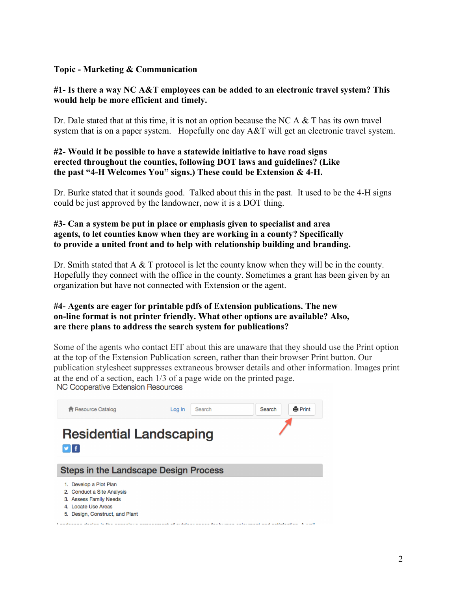#### **Topic - Marketing & Communication**

#### **#1- Is there a way NC A&T employees can be added to an electronic travel system? This would help be more efficient and timely.**

Dr. Dale stated that at this time, it is not an option because the NC A  $\&$  T has its own travel system that is on a paper system. Hopefully one day  $A\&T$  will get an electronic travel system.

#### **#2- Would it be possible to have a statewide initiative to have road signs erected throughout the counties, following DOT laws and guidelines? (Like the past "4-H Welcomes You" signs.) These could be Extension & 4-H.**

Dr. Burke stated that it sounds good. Talked about this in the past. It used to be the 4-H signs could be just approved by the landowner, now it is a DOT thing.

#### **#3- Can a system be put in place or emphasis given to specialist and area agents, to let counties know when they are working in a county? Specifically to provide a united front and to help with relationship building and branding.**

Dr. Smith stated that A & T protocol is let the county know when they will be in the county. Hopefully they connect with the office in the county. Sometimes a grant has been given by an organization but have not connected with Extension or the agent.

#### **#4- Agents are eager for printable pdfs of Extension publications. The new on-line format is not printer friendly. What other options are available? Also, are there plans to address the search system for publications?**

Some of the agents who contact EIT about this are unaware that they should use the Print option at the top of the Extension Publication screen, rather than their browser Print button. Our publication stylesheet suppresses extraneous browser details and other information. Images print at the end of a section, each 1/3 of a page wide on the printed page.<br>NC Cooperative Extension Resources

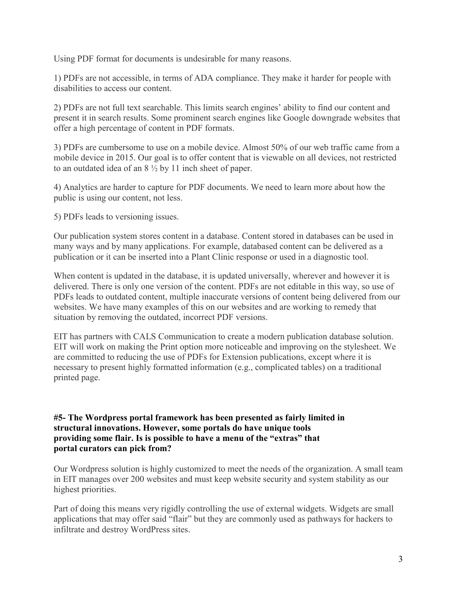Using PDF format for documents is undesirable for many reasons.

1) PDFs are not accessible, in terms of ADA compliance. They make it harder for people with disabilities to access our content.

2) PDFs are not full text searchable. This limits search engines' ability to find our content and present it in search results. Some prominent search engines like Google downgrade websites that offer a high percentage of content in PDF formats.

3) PDFs are cumbersome to use on a mobile device. Almost 50% of our web traffic came from a mobile device in 2015. Our goal is to offer content that is viewable on all devices, not restricted to an outdated idea of an 8 ½ by 11 inch sheet of paper.

4) Analytics are harder to capture for PDF documents. We need to learn more about how the public is using our content, not less.

5) PDFs leads to versioning issues.

Our publication system stores content in a database. Content stored in databases can be used in many ways and by many applications. For example, databased content can be delivered as a publication or it can be inserted into a Plant Clinic response or used in a diagnostic tool.

When content is updated in the database, it is updated universally, wherever and however it is delivered. There is only one version of the content. PDFs are not editable in this way, so use of PDFs leads to outdated content, multiple inaccurate versions of content being delivered from our websites. We have many examples of this on our websites and are working to remedy that situation by removing the outdated, incorrect PDF versions.

EIT has partners with CALS Communication to create a modern publication database solution. EIT will work on making the Print option more noticeable and improving on the stylesheet. We are committed to reducing the use of PDFs for Extension publications, except where it is necessary to present highly formatted information (e.g., complicated tables) on a traditional printed page.

**#5- The Wordpress portal framework has been presented as fairly limited in structural innovations. However, some portals do have unique tools providing some flair. Is is possible to have a menu of the "extras" that portal curators can pick from?**

Our Wordpress solution is highly customized to meet the needs of the organization. A small team in EIT manages over 200 websites and must keep website security and system stability as our highest priorities.

Part of doing this means very rigidly controlling the use of external widgets. Widgets are small applications that may offer said "flair" but they are commonly used as pathways for hackers to infiltrate and destroy WordPress sites.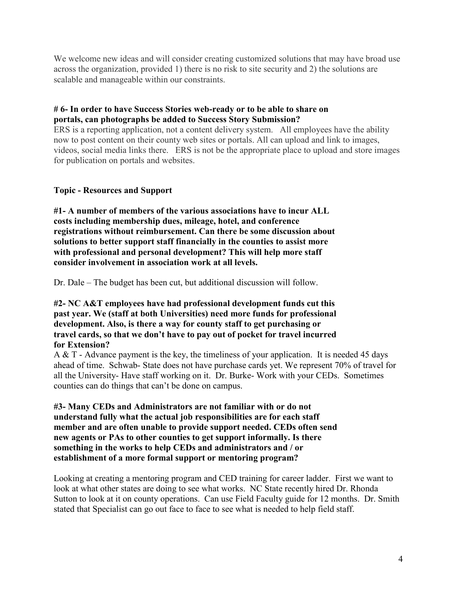We welcome new ideas and will consider creating customized solutions that may have broad use across the organization, provided 1) there is no risk to site security and 2) the solutions are scalable and manageable within our constraints.

## **# 6- In order to have Success Stories web-ready or to be able to share on portals, can photographs be added to Success Story Submission?**

ERS is a reporting application, not a content delivery system. All employees have the ability now to post content on their county web sites or portals. All can upload and link to images, videos, social media links there. ERS is not be the appropriate place to upload and store images for publication on portals and websites.

## **Topic - Resources and Support**

**#1- A number of members of the various associations have to incur ALL costs including membership dues, mileage, hotel, and conference registrations without reimbursement. Can there be some discussion about solutions to better support staff financially in the counties to assist more with professional and personal development? This will help more staff consider involvement in association work at all levels.**

Dr. Dale – The budget has been cut, but additional discussion will follow.

#### **#2- NC A&T employees have had professional development funds cut this past year. We (staff at both Universities) need more funds for professional development. Also, is there a way for county staff to get purchasing or travel cards, so that we don't have to pay out of pocket for travel incurred for Extension?**

A & T - Advance payment is the key, the timeliness of your application. It is needed 45 days ahead of time. Schwab- State does not have purchase cards yet. We represent 70% of travel for all the University- Have staff working on it. Dr. Burke- Work with your CEDs. Sometimes counties can do things that can't be done on campus.

**#3- Many CEDs and Administrators are not familiar with or do not understand fully what the actual job responsibilities are for each staff member and are often unable to provide support needed. CEDs often send new agents or PAs to other counties to get support informally. Is there something in the works to help CEDs and administrators and / or establishment of a more formal support or mentoring program?**

Looking at creating a mentoring program and CED training for career ladder. First we want to look at what other states are doing to see what works. NC State recently hired Dr. Rhonda Sutton to look at it on county operations. Can use Field Faculty guide for 12 months. Dr. Smith stated that Specialist can go out face to face to see what is needed to help field staff.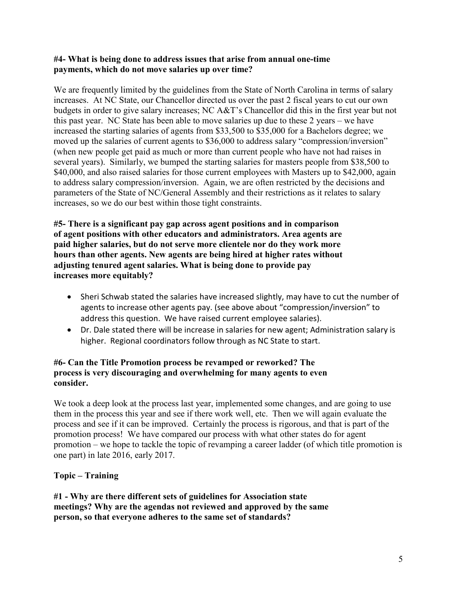#### **#4- What is being done to address issues that arise from annual one-time payments, which do not move salaries up over time?**

We are frequently limited by the guidelines from the State of North Carolina in terms of salary increases. At NC State, our Chancellor directed us over the past 2 fiscal years to cut our own budgets in order to give salary increases; NC A&T's Chancellor did this in the first year but not this past year. NC State has been able to move salaries up due to these 2 years – we have increased the starting salaries of agents from \$33,500 to \$35,000 for a Bachelors degree; we moved up the salaries of current agents to \$36,000 to address salary "compression/inversion" (when new people get paid as much or more than current people who have not had raises in several years). Similarly, we bumped the starting salaries for masters people from \$38,500 to \$40,000, and also raised salaries for those current employees with Masters up to \$42,000, again to address salary compression/inversion. Again, we are often restricted by the decisions and parameters of the State of NC/General Assembly and their restrictions as it relates to salary increases, so we do our best within those tight constraints.

**#5- There is a significant pay gap across agent positions and in comparison of agent positions with other educators and administrators. Area agents are paid higher salaries, but do not serve more clientele nor do they work more hours than other agents. New agents are being hired at higher rates without adjusting tenured agent salaries. What is being done to provide pay increases more equitably?**

- Sheri Schwab stated the salaries have increased slightly, may have to cut the number of agents to increase other agents pay. (see above about "compression/inversion" to address this question. We have raised current employee salaries).
- Dr. Dale stated there will be increase in salaries for new agent; Administration salary is higher. Regional coordinators follow through as NC State to start.

### **#6- Can the Title Promotion process be revamped or reworked? The process is very discouraging and overwhelming for many agents to even consider.**

We took a deep look at the process last year, implemented some changes, and are going to use them in the process this year and see if there work well, etc. Then we will again evaluate the process and see if it can be improved. Certainly the process is rigorous, and that is part of the promotion process! We have compared our process with what other states do for agent promotion – we hope to tackle the topic of revamping a career ladder (of which title promotion is one part) in late 2016, early 2017.

# **Topic – Training**

**#1 - Why are there different sets of guidelines for Association state meetings? Why are the agendas not reviewed and approved by the same person, so that everyone adheres to the same set of standards?**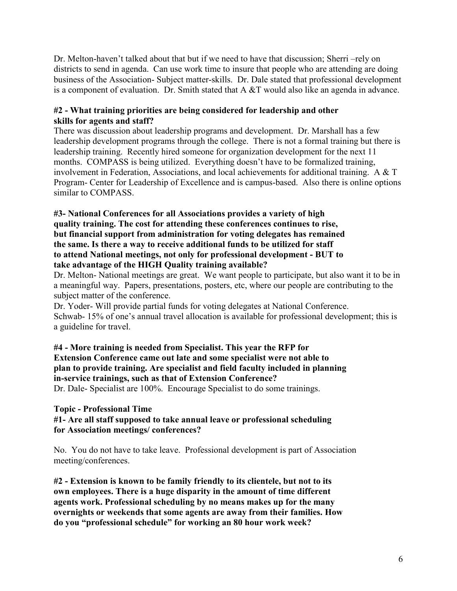Dr. Melton-haven't talked about that but if we need to have that discussion; Sherri –rely on districts to send in agenda. Can use work time to insure that people who are attending are doing business of the Association- Subject matter-skills. Dr. Dale stated that professional development is a component of evaluation. Dr. Smith stated that A &T would also like an agenda in advance.

## **#2 - What training priorities are being considered for leadership and other skills for agents and staff?**

There was discussion about leadership programs and development. Dr. Marshall has a few leadership development programs through the college. There is not a formal training but there is leadership training. Recently hired someone for organization development for the next 11 months. COMPASS is being utilized. Everything doesn't have to be formalized training, involvement in Federation, Associations, and local achievements for additional training. A & T Program- Center for Leadership of Excellence and is campus-based. Also there is online options similar to COMPASS.

#### **#3- National Conferences for all Associations provides a variety of high quality training. The cost for attending these conferences continues to rise, but financial support from administration for voting delegates has remained the same. Is there a way to receive additional funds to be utilized for staff to attend National meetings, not only for professional development - BUT to take advantage of the HIGH Quality training available?**

Dr. Melton- National meetings are great. We want people to participate, but also want it to be in a meaningful way. Papers, presentations, posters, etc, where our people are contributing to the subject matter of the conference.

Dr. Yoder- Will provide partial funds for voting delegates at National Conference. Schwab- 15% of one's annual travel allocation is available for professional development; this is a guideline for travel.

**#4 - More training is needed from Specialist. This year the RFP for Extension Conference came out late and some specialist were not able to plan to provide training. Are specialist and field faculty included in planning in-service trainings, such as that of Extension Conference?** Dr. Dale- Specialist are 100%. Encourage Specialist to do some trainings.

# **Topic - Professional Time**

## **#1- Are all staff supposed to take annual leave or professional scheduling for Association meetings/ conferences?**

No. You do not have to take leave. Professional development is part of Association meeting/conferences.

**#2 - Extension is known to be family friendly to its clientele, but not to its own employees. There is a huge disparity in the amount of time different agents work. Professional scheduling by no means makes up for the many overnights or weekends that some agents are away from their families. How do you "professional schedule" for working an 80 hour work week?**